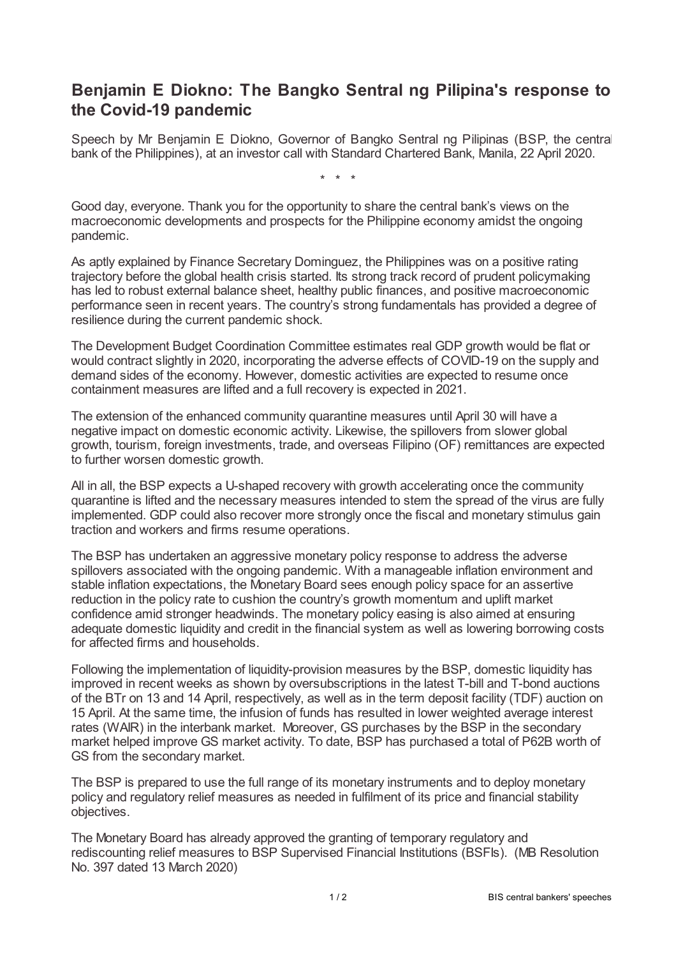## **Benjamin E Diokno: The Bangko Sentral ng Pilipina's response to the Covid-19 pandemic**

Speech by Mr Benjamin E Diokno, Governor of Bangko Sentral ng Pilipinas (BSP, the central bank of the Philippines), at an investor call with Standard Chartered Bank, Manila, 22 April 2020.

\* \* \*

Good day, everyone. Thank you for the opportunity to share the central bank's views on the macroeconomic developments and prospects for the Philippine economy amidst the ongoing pandemic.

As aptly explained by Finance Secretary Dominguez, the Philippines was on a positive rating trajectory before the global health crisis started. Its strong track record of prudent policymaking has led to robust external balance sheet, healthy public finances, and positive macroeconomic performance seen in recent years. The country's strong fundamentals has provided a degree of resilience during the current pandemic shock.

The Development Budget Coordination Committee estimates real GDP growth would be flat or would contract slightly in 2020, incorporating the adverse effects of COVID-19 on the supply and demand sides of the economy. However, domestic activities are expected to resume once containment measures are lifted and a full recovery is expected in 2021.

The extension of the enhanced community quarantine measures until April 30 will have a negative impact on domestic economic activity. Likewise, the spillovers from slower global growth, tourism, foreign investments, trade, and overseas Filipino (OF) remittances are expected to further worsen domestic growth.

All in all, the BSP expects a U-shaped recovery with growth accelerating once the community quarantine is lifted and the necessary measures intended to stem the spread of the virus are fully implemented. GDP could also recover more strongly once the fiscal and monetary stimulus gain traction and workers and firms resume operations.

The BSP has undertaken an aggressive monetary policy response to address the adverse spillovers associated with the ongoing pandemic. With a manageable inflation environment and stable inflation expectations, the Monetary Board sees enough policy space for an assertive reduction in the policy rate to cushion the country's growth momentum and uplift market confidence amid stronger headwinds. The monetary policy easing is also aimed at ensuring adequate domestic liquidity and credit in the financial system as well as lowering borrowing costs for affected firms and households.

Following the implementation of liquidity-provision measures by the BSP, domestic liquidity has improved in recent weeks as shown by oversubscriptions in the latest T-bill and T-bond auctions of the BTr on 13 and 14 April, respectively, as well as in the term deposit facility (TDF) auction on 15 April. At the same time, the infusion of funds has resulted in lower weighted average interest rates (WAIR) in the interbank market. Moreover, GS purchases by the BSP in the secondary market helped improve GS market activity. To date, BSP has purchased a total of P62B worth of GS from the secondary market.

The BSP is prepared to use the full range of its monetary instruments and to deploy monetary policy and regulatory relief measures as needed in fulfilment of its price and financial stability objectives.

The Monetary Board has already approved the granting of temporary regulatory and rediscounting relief measures to BSP Supervised Financial Institutions (BSFIs). (MB Resolution No. 397 dated 13 March 2020)